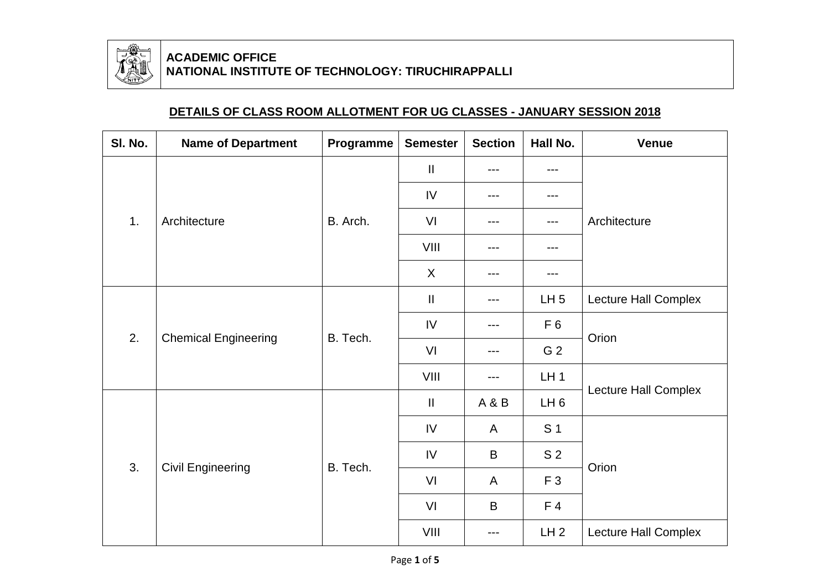

## **ACADEMIC OFFICE NATIONAL INSTITUTE OF TECHNOLOGY: TIRUCHIRAPPALLI**

## **DETAILS OF CLASS ROOM ALLOTMENT FOR UG CLASSES - JANUARY SESSION 2018**

| SI. No. | <b>Name of Department</b>   | Programme | <b>Semester</b> | <b>Section</b> | Hall No.        | <b>Venue</b>         |  |  |
|---------|-----------------------------|-----------|-----------------|----------------|-----------------|----------------------|--|--|
| 1.      | Architecture                | B. Arch.  | $\mathbf{I}$    | $---$          | ---             |                      |  |  |
|         |                             |           | IV              | ---            | $---$           |                      |  |  |
|         |                             |           | VI              | ---            | $---$           | Architecture         |  |  |
|         |                             |           | VIII            | ---            | ---             |                      |  |  |
|         |                             |           | $\sf X$         | ---            | ---             |                      |  |  |
| 2.      | <b>Chemical Engineering</b> | B. Tech.  | $\mathbf{I}$    | $---$          | LH <sub>5</sub> | Lecture Hall Complex |  |  |
|         |                             |           | IV              | ---            | F <sub>6</sub>  | Orion                |  |  |
|         |                             |           | VI              | ---            | G <sub>2</sub>  |                      |  |  |
|         |                             |           | VIII            | $---$          | LH <sub>1</sub> |                      |  |  |
| 3.      | <b>Civil Engineering</b>    | B. Tech.  | $\mathbf{I}$    | A&B            | LH <sub>6</sub> | Lecture Hall Complex |  |  |
|         |                             |           | IV              | A              | S <sub>1</sub>  |                      |  |  |
|         |                             |           | IV              | B              | S <sub>2</sub>  | Orion                |  |  |
|         |                             |           | VI              | A              | F <sub>3</sub>  |                      |  |  |
|         |                             |           | VI              | $\mathsf B$    | F <sub>4</sub>  |                      |  |  |
|         |                             |           | VIII            | $---$          | LH <sub>2</sub> | Lecture Hall Complex |  |  |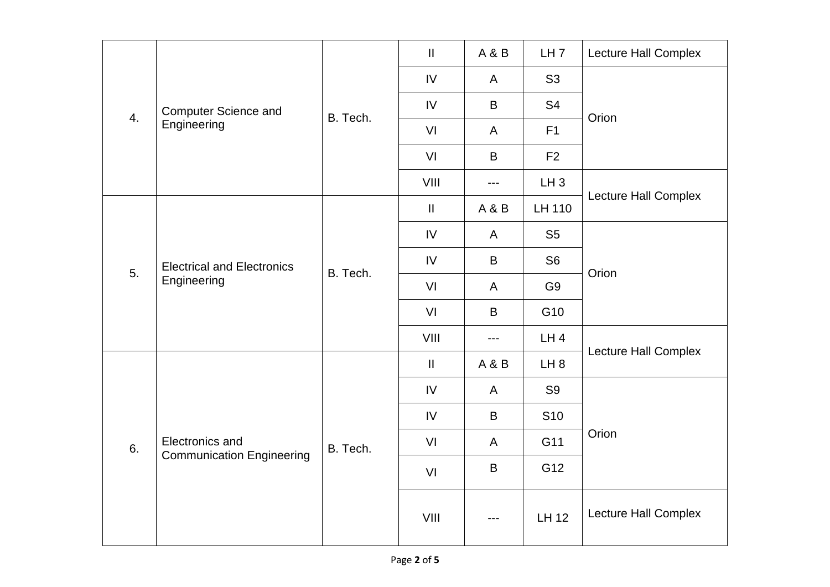| 4. | <b>Computer Science and</b><br>Engineering          | B. Tech. | $\mathbf{II}$ | A & B        | LH <sub>7</sub> | Lecture Hall Complex |  |  |
|----|-----------------------------------------------------|----------|---------------|--------------|-----------------|----------------------|--|--|
|    |                                                     |          | IV            | $\mathsf{A}$ | S <sub>3</sub>  |                      |  |  |
|    |                                                     |          | IV            | B            | S <sub>4</sub>  | Orion                |  |  |
|    |                                                     |          | VI            | $\mathsf{A}$ | F1              |                      |  |  |
|    |                                                     |          | VI            | B            | F2              |                      |  |  |
|    |                                                     |          | VIII          | ---          | $LH_3$          |                      |  |  |
|    | <b>Electrical and Electronics</b><br>Engineering    | B. Tech. | $\mathbf{II}$ | A&B          | LH 110          | Lecture Hall Complex |  |  |
|    |                                                     |          | $\mathsf{IV}$ | $\mathsf{A}$ | S <sub>5</sub>  | Orion                |  |  |
| 5. |                                                     |          | $\mathsf{IV}$ | B            | S <sub>6</sub>  |                      |  |  |
|    |                                                     |          | VI            | $\mathsf{A}$ | G <sub>9</sub>  |                      |  |  |
|    |                                                     |          | VI            | B            | G10             |                      |  |  |
|    |                                                     |          | VIII          | ---          | LH4             |                      |  |  |
| 6. | Electronics and<br><b>Communication Engineering</b> | B. Tech. | $\mathbf{II}$ | A&B          | LH <sub>8</sub> | Lecture Hall Complex |  |  |
|    |                                                     |          | $\mathsf{IV}$ | $\mathsf{A}$ | S <sub>9</sub>  |                      |  |  |
|    |                                                     |          | IV            | B            | S <sub>10</sub> |                      |  |  |
|    |                                                     |          | VI            | $\mathsf{A}$ | G11             | Orion                |  |  |
|    |                                                     |          | VI            | $\sf B$      | G12             |                      |  |  |
|    |                                                     |          | VIII          |              | LH 12           | Lecture Hall Complex |  |  |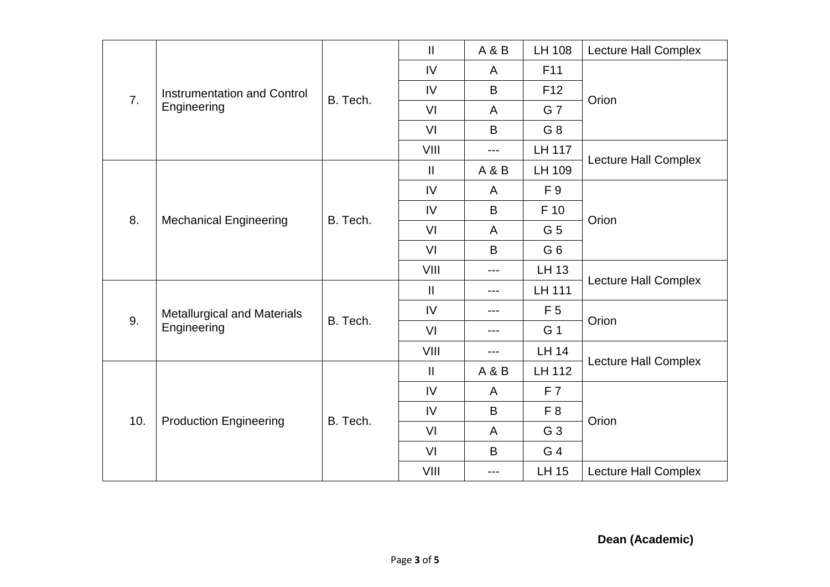| $\overline{7}$ . | Instrumentation and Control<br>Engineering        | B. Tech. | $\mathbf{I}$  | <b>A&amp;B</b> | LH 108          | Lecture Hall Complex        |  |  |
|------------------|---------------------------------------------------|----------|---------------|----------------|-----------------|-----------------------------|--|--|
|                  |                                                   |          | IV            | A              | F11             |                             |  |  |
|                  |                                                   |          | IV            | B              | F <sub>12</sub> | Orion                       |  |  |
|                  |                                                   |          | VI            | A              | G 7             |                             |  |  |
|                  |                                                   |          | VI            | B              | G 8             |                             |  |  |
|                  |                                                   |          | VIII          | $---$          | LH 117          |                             |  |  |
|                  | <b>Mechanical Engineering</b>                     | B. Tech. | $\mathbf{II}$ | A & B          | LH 109          | Lecture Hall Complex        |  |  |
|                  |                                                   |          | IV            | A              | F 9             | Orion                       |  |  |
| 8.               |                                                   |          | IV            | B              | F 10            |                             |  |  |
|                  |                                                   |          | VI            | A              | G <sub>5</sub>  |                             |  |  |
|                  |                                                   |          | VI            | B              | G <sub>6</sub>  |                             |  |  |
|                  |                                                   |          | VIII          | ---            | LH 13           |                             |  |  |
|                  | <b>Metallurgical and Materials</b><br>Engineering | B. Tech. | $\mathbf{II}$ | ---            | <b>LH 111</b>   | <b>Lecture Hall Complex</b> |  |  |
|                  |                                                   |          | IV            | ---            | F <sub>5</sub>  | Orion                       |  |  |
| 9.               |                                                   |          | VI            | ---            | G 1             |                             |  |  |
|                  |                                                   |          | VIII          | $---$          | <b>LH 14</b>    |                             |  |  |
| 10.              | <b>Production Engineering</b>                     | B. Tech. | $\mathbf{II}$ | <b>A&amp;B</b> | <b>LH 112</b>   | <b>Lecture Hall Complex</b> |  |  |
|                  |                                                   |          | IV            | A              | F <sub>7</sub>  |                             |  |  |
|                  |                                                   |          | IV            | B              | F <sub>8</sub>  | Orion                       |  |  |
|                  |                                                   |          | VI            | $\overline{A}$ | G <sub>3</sub>  |                             |  |  |
|                  |                                                   |          | VI            | B              | G 4             |                             |  |  |
|                  |                                                   |          | VIII          | ---            | <b>LH 15</b>    | <b>Lecture Hall Complex</b> |  |  |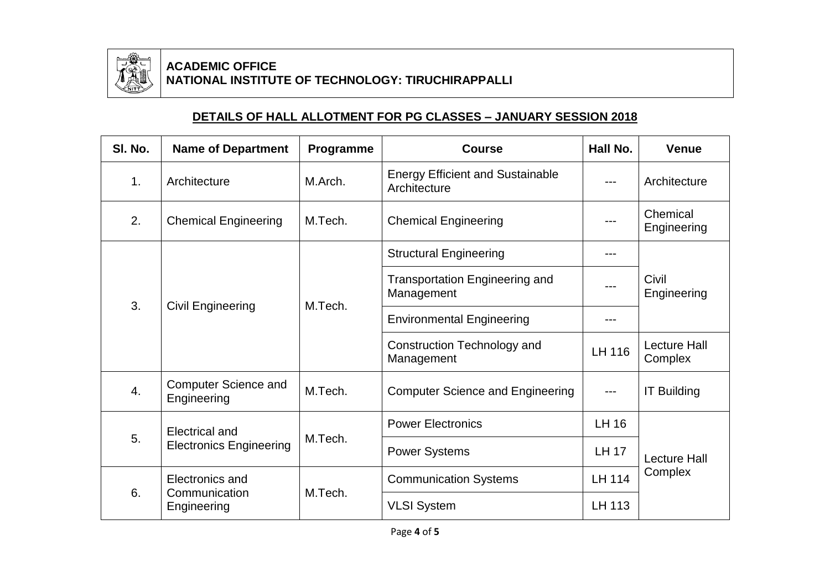

## **ACADEMIC OFFICE NATIONAL INSTITUTE OF TECHNOLOGY: TIRUCHIRAPPALLI**

## **DETAILS OF HALL ALLOTMENT FOR PG CLASSES – JANUARY SESSION 2018**

| SI. No.          | <b>Name of Department</b>                               | Programme | <b>Course</b>                                           | Hall No.      | <b>Venue</b>                   |  |
|------------------|---------------------------------------------------------|-----------|---------------------------------------------------------|---------------|--------------------------------|--|
| 1.               | Architecture                                            | M.Arch.   | <b>Energy Efficient and Sustainable</b><br>Architecture |               | Architecture                   |  |
| 2.               | <b>Chemical Engineering</b>                             | M.Tech.   | <b>Chemical Engineering</b>                             | ---           | Chemical<br>Engineering        |  |
|                  | <b>Civil Engineering</b>                                | M.Tech.   | <b>Structural Engineering</b>                           | ---           |                                |  |
| 3.               |                                                         |           | <b>Transportation Engineering and</b><br>Management     |               | Civil<br>Engineering           |  |
|                  |                                                         |           | <b>Environmental Engineering</b>                        | ---           |                                |  |
|                  |                                                         |           | Construction Technology and<br>Management               | LH 116        | <b>Lecture Hall</b><br>Complex |  |
| $\overline{4}$ . | <b>Computer Science and</b><br>Engineering              | M.Tech.   | <b>Computer Science and Engineering</b>                 |               | <b>IT Building</b>             |  |
| 5.               | <b>Electrical and</b><br><b>Electronics Engineering</b> | M.Tech.   | <b>Power Electronics</b>                                | <b>LH 16</b>  |                                |  |
|                  |                                                         |           | <b>Power Systems</b>                                    | <b>LH 17</b>  | <b>Lecture Hall</b>            |  |
| 6.               | Electronics and<br>Communication<br>Engineering         | M.Tech.   | <b>Communication Systems</b>                            | <b>LH 114</b> | Complex                        |  |
|                  |                                                         |           | <b>VLSI System</b>                                      | LH 113        |                                |  |